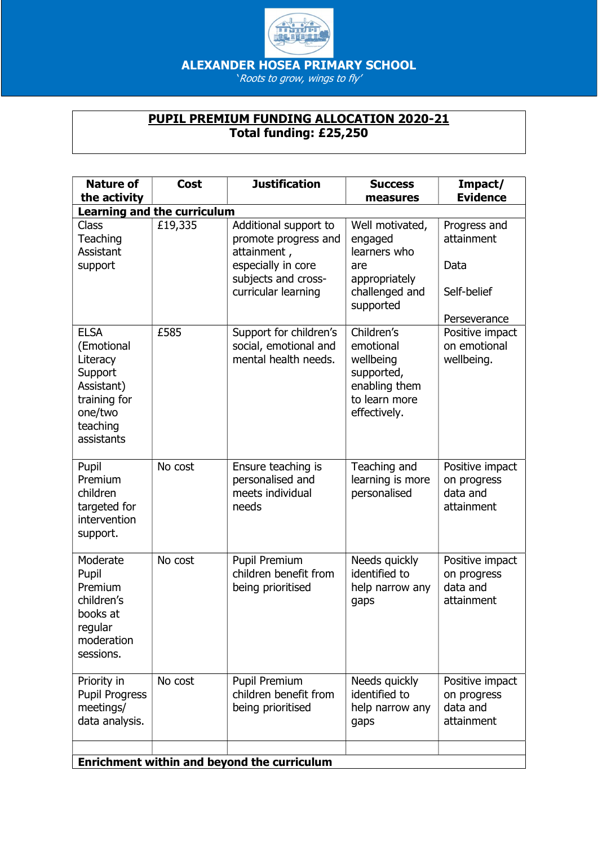

ALEXANDER HOSEA PRIMARY SCHOOL

'Roots to grow, wings to fly'

## PUPIL PREMIUM FUNDING ALLOCATION 2020-21 Total funding: £25,250

| <b>Nature of</b><br>the activity                                                                                    | <b>Cost</b> | <b>Justification</b>                                                                                                             | <b>Success</b><br>measures                                                                           | Impact/<br><b>Evidence</b>                                        |  |  |  |
|---------------------------------------------------------------------------------------------------------------------|-------------|----------------------------------------------------------------------------------------------------------------------------------|------------------------------------------------------------------------------------------------------|-------------------------------------------------------------------|--|--|--|
| <b>Learning and the curriculum</b>                                                                                  |             |                                                                                                                                  |                                                                                                      |                                                                   |  |  |  |
| Class<br>Teaching<br>Assistant<br>support                                                                           | £19,335     | Additional support to<br>promote progress and<br>attainment,<br>especially in core<br>subjects and cross-<br>curricular learning | Well motivated,<br>engaged<br>learners who<br>are<br>appropriately<br>challenged and<br>supported    | Progress and<br>attainment<br>Data<br>Self-belief<br>Perseverance |  |  |  |
| <b>ELSA</b><br>(Emotional<br>Literacy<br>Support<br>Assistant)<br>training for<br>one/two<br>teaching<br>assistants | £585        | Support for children's<br>social, emotional and<br>mental health needs.                                                          | Children's<br>emotional<br>wellbeing<br>supported,<br>enabling them<br>to learn more<br>effectively. | Positive impact<br>on emotional<br>wellbeing.                     |  |  |  |
| Pupil<br>Premium<br>children<br>targeted for<br>intervention<br>support.                                            | No cost     | Ensure teaching is<br>personalised and<br>meets individual<br>needs                                                              | Teaching and<br>learning is more<br>personalised                                                     | Positive impact<br>on progress<br>data and<br>attainment          |  |  |  |
| Moderate<br>Pupil<br>Premium<br>children's<br>books at<br>regular<br>moderation<br>sessions.                        | No cost     | <b>Pupil Premium</b><br>children benefit from<br>being prioritised                                                               | Needs quickly<br>identified to<br>help narrow any<br>gaps                                            | Positive impact<br>on progress<br>data and<br>attainment          |  |  |  |
| Priority in<br><b>Pupil Progress</b><br>meetings/<br>data analysis.                                                 | No cost     | Pupil Premium<br>children benefit from<br>being prioritised                                                                      | Needs quickly<br>identified to<br>help narrow any<br>gaps                                            | Positive impact<br>on progress<br>data and<br>attainment          |  |  |  |
|                                                                                                                     |             | <b>Enrichment within and beyond the curriculum</b>                                                                               |                                                                                                      |                                                                   |  |  |  |